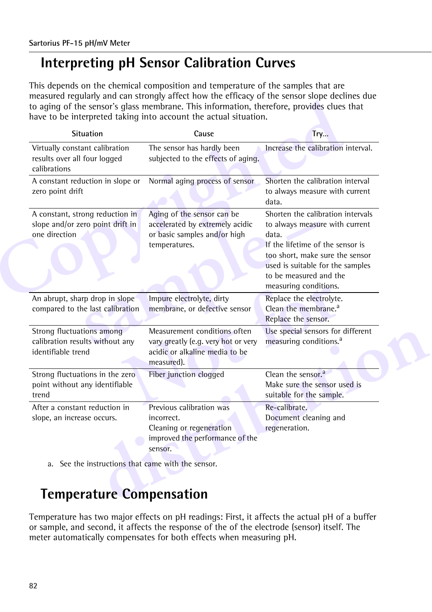# **Interpreting pH Sensor Calibration Curves**

This depends on the chemical composition and temperature of the samples that are measured regularly and can strongly affect how the efficacy of the sensor slope declines due to aging of the sensor's glass membrane. This information, therefore, provides clues that have to be interpreted taking into account the actual situation.

| <b>Situation</b>                                                                          | Cause                                                                                                               | <b>Try</b>                                                                                                                                                                                                                                 |
|-------------------------------------------------------------------------------------------|---------------------------------------------------------------------------------------------------------------------|--------------------------------------------------------------------------------------------------------------------------------------------------------------------------------------------------------------------------------------------|
| Virtually constant calibration<br>results over all four logged<br>calibrations            | The sensor has hardly been<br>subjected to the effects of aging.                                                    | Increase the calibration interval.                                                                                                                                                                                                         |
| A constant reduction in slope or<br>zero point drift                                      | Normal aging process of sensor                                                                                      | Shorten the calibration interval<br>to always measure with current<br>data.                                                                                                                                                                |
| A constant, strong reduction in<br>slope and/or zero point drift in<br>one direction      | Aging of the sensor can be<br>accelerated by extremely acidic<br>or basic samples and/or high<br>temperatures.      | Shorten the calibration intervals<br>to always measure with current<br>data.<br>If the lifetime of the sensor is<br>too short, make sure the sensor<br>used is suitable for the samples<br>to be measured and the<br>measuring conditions. |
| An abrupt, sharp drop in slope<br>compared to the last calibration                        | Impure electrolyte, dirty<br>membrane, or defective sensor                                                          | Replace the electrolyte.<br>Clean the membrane. <sup>a</sup><br>Replace the sensor.                                                                                                                                                        |
| <b>Strong fluctuations among</b><br>calibration results without any<br>identifiable trend | Measurement conditions often<br>vary greatly (e.g. very hot or very<br>acidic or alkaline media to be<br>measured). | Use special sensors for different<br>measuring conditions. <sup>a</sup>                                                                                                                                                                    |
| Strong fluctuations in the zero<br>point without any identifiable<br>trend                | Fiber junction clogged                                                                                              | Clean the sensor. <sup>a</sup><br>Make sure the sensor used is<br>suitable for the sample.                                                                                                                                                 |
| After a constant reduction in<br>slope, an increase occurs.                               | Previous calibration was<br>incorrect.<br>Cleaning or regeneration<br>improved the performance of the<br>sensor.    | Re-calibrate.<br>Document cleaning and<br>regeneration.                                                                                                                                                                                    |

# **Temperature Compensation**

Temperature has two major effects on pH readings: First, it affects the actual pH of a buffer or sample, and second, it affects the response of the of the electrode (sensor) itself. The meter automatically compensates for both effects when measuring pH.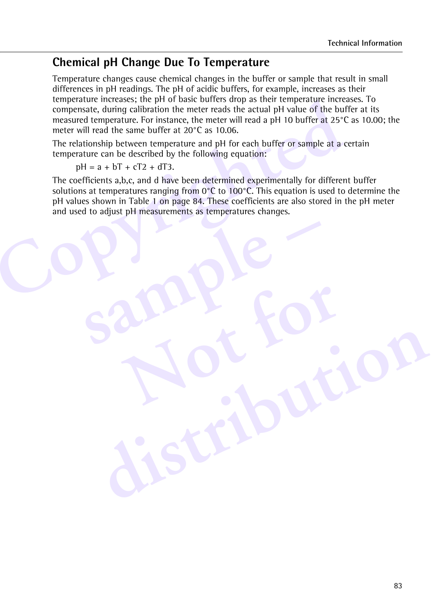### **Chemical pH Change Due To Temperature**

Temperature changes cause chemical changes in the buffer or sample that result in small differences in pH readings. The pH of acidic buffers, for example, increases as their temperature increases; the pH of basic buffers drop as their temperature increases. To compensate, during calibration the meter reads the actual pH value of the buffer at its measured temperature. For instance, the meter will read a pH 10 buffer at 25°C as 10.00; the meter will read the same buffer at 20°C as 10.06.

The relationship between temperature and pH for each buffer or sample at a certain temperature can be described by the following equation:

**sample –**

 $pH = a + bT + cT2 + dT3$ .

Emperature increases; the pH of basic butters drop as their temperature increases, during calibration the meter reads the actual pH value of the but measured temperature. For instance, the meter will read a pH 10 buffer a The coefficients a,b,c, and d have been determined experimentally for different buffer solutions at temperatures ranging from  $0^{\circ}$ C to 100 $^{\circ}$ C. This equation is used to determine the pH values shown in Table 1 on page 84. These coefficients are also stored in the pH meter and used to adjust pH measurements as temperatures changes.

**Not for**

**distribution**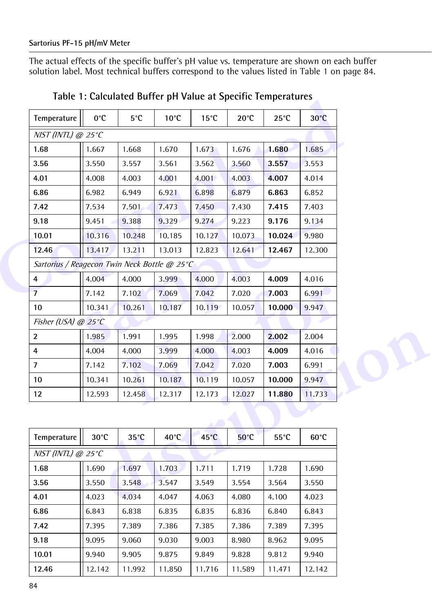The actual effects of the specific buffer's pH value vs. temperature are shown on each buffer solution label. Most technical buffers correspond to the values listed in [Table 1 on page 84](#page-2-0).

| Temperature                                  | 0°C    | 5°C    | $10^{\circ}$ C | $15^{\circ}$ C | $20^{\circ}$ C | $25^{\circ}$ C | $30^{\circ}$ C |
|----------------------------------------------|--------|--------|----------------|----------------|----------------|----------------|----------------|
| $NIST$ (INTL) @ 25°C                         |        |        |                |                |                |                |                |
| 1.68                                         | 1.667  | 1.668  | 1.670          | 1.673          | 1.676          | 1.680          | 1.685          |
| 3.56                                         | 3.550  | 3.557  | 3.561          | 3.562          | 3.560          | 3.557          | 3.553          |
| 4.01                                         | 4.008  | 4.003  | 4.001          | 4.001          | 4.003          | 4.007          | 4.014          |
| 6.86                                         | 6.982  | 6.949  | 6.921          | 6.898          | 6.879          | 6.863          | 6.852          |
| 7.42                                         | 7.534  | 7.501  | 7.473          | 7.450          | 7.430          | 7.415          | 7.403          |
| 9.18                                         | 9.451  | 9.388  | 9.329          | 9.274          | 9.223          | 9.176          | 9.134          |
| 10.01                                        | 10.316 | 10.248 | 10.185         | 10.127         | 10.073         | 10.024         | 9.980          |
| 12.46                                        | 13.417 | 13.211 | 13.013         | 12.823         | 12.641         | 12.467         | 12.300         |
| Sartorius / Reagecon Twin Neck Bottle @ 25°C |        |        |                |                |                |                |                |
| 4                                            | 4.004  | 4.000  | 3.999          | 4.000          | 4.003          | 4.009          | 4.016          |
| $\overline{7}$                               | 7.142  | 7.102  | 7.069          | 7.042          | 7.020          | 7.003          | 6.991          |
| 10                                           | 10.341 | 10.261 | 10.187         | 10.119         | 10.057         | 10.000         | 9.947          |
| Fisher (USA) @ $25^{\circ}$ C                |        |        |                |                |                |                |                |
| $\overline{2}$                               | 1.985  | 1.991  | 1.995          | 1.998          | 2.000          | 2.002          | 2.004          |
| $\overline{4}$                               | 4.004  | 4.000  | 3.999          | 4.000          | 4.003          | 4.009          | 4.016          |
| $\overline{7}$                               | 7.142  | 7.102  | 7.069          | 7.042          | 7.020          | 7.003          | 6.991          |
| 10 <sup>°</sup>                              | 10.341 | 10.261 | 10.187         | 10.119         | 10.057         | 10.000         | 9.947          |
| 12                                           | 12.593 | 12.458 | 12.317         | 12.173         | 12.027         | 11.880         | 11.733         |

<span id="page-2-0"></span>

| Temperature          | $30^{\circ}$ C | $35^{\circ}$ C | $40^{\circ}$ C | $45^{\circ}$ C | $50^{\circ}$ C | $55^{\circ}$ C | $60^{\circ}$ C |
|----------------------|----------------|----------------|----------------|----------------|----------------|----------------|----------------|
| $NIST$ (INTL) @ 25°C |                |                |                |                |                |                |                |
| 1.68                 | 1.690          | 1.697          | 1.703          | 1.711          | 1.719          | 1.728          | 1.690          |
| 3.56                 | 3.550          | 3.548          | 3.547          | 3.549          | 3.554          | 3.564          | 3.550          |
| 4.01                 | 4.023          | 4.034          | 4.047          | 4.063          | 4.080          | 4.100          | 4.023          |
| 6.86                 | 6.843          | 6.838          | 6.835          | 6.835          | 6.836          | 6.840          | 6.843          |
| 7.42                 | 7.395          | 7.389          | 7.386          | 7.385          | 7.386          | 7.389          | 7.395          |
| 9.18                 | 9.095          | 9.060          | 9.030          | 9.003          | 8.980          | 8.962          | 9.095          |
| 10.01                | 9.940          | 9.905          | 9.875          | 9.849          | 9.828          | 9.812          | 9.940          |
| 12.46                | 12.142         | 11.992         | 11.850         | 11.716         | 11.589         | 11.471         | 12.142         |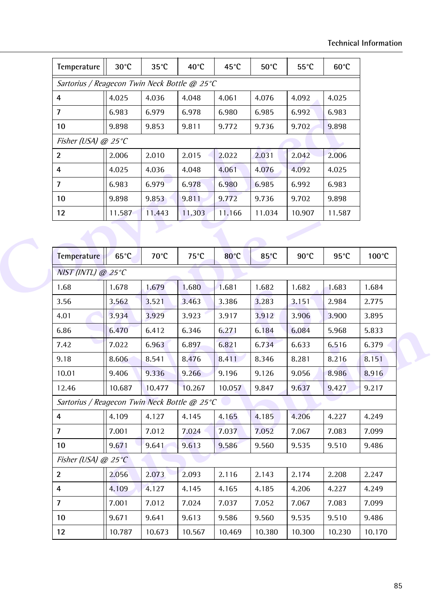| Temperature                                  | $30^{\circ}$ C  | $35^{\circ}$ C | 40°C   | 45°C           | 50°C           | $55^{\circ}$ C | $60^{\circ}$ C |  |  |
|----------------------------------------------|-----------------|----------------|--------|----------------|----------------|----------------|----------------|--|--|
| Sartorius / Reagecon Twin Neck Bottle @ 25°C |                 |                |        |                |                |                |                |  |  |
| 4                                            | 4.025           | 4.036          | 4.048  | 4.061          | 4.076          | 4.092          | 4.025          |  |  |
| 7                                            | 6.983           | 6.979          | 6.978  | 6.980          | 6.985          | 6.992          | 6.983          |  |  |
| 10                                           | 9.898           | 9.853          | 9.811  | 9.772          | 9.736          | 9.702          | 9.898          |  |  |
| Fisher (USA) @ $25^{\circ}$ C                |                 |                |        |                |                |                |                |  |  |
| $\overline{2}$                               | 2.006           | 2.010          | 2.015  | 2.022          | 2.031          | 2.042          | 2.006          |  |  |
| 4                                            | 4.025           | 4.036          | 4.048  | 4.061          | 4.076          | 4.092          | 4.025          |  |  |
| 7                                            | 6.983           | 6.979          | 6.978  | 6.980          | 6.985          | 6.992          | 6.983          |  |  |
| 10                                           | 9.898           | 9.853          | 9.811  | 9.772          | 9.736          | 9.702          | 9.898          |  |  |
| 12 <sup>2</sup>                              | 11.587          | 11.443         | 11.303 | 11.166         | 11.034         | 10.907         | 11.587         |  |  |
|                                              |                 |                |        |                |                |                |                |  |  |
| <b>Temperature</b>                           | $65^{\circ}$ C  | 70°C           | 75°C   | $80^{\circ}$ C | $85^{\circ}$ C | $90^{\circ}$ C | $95^{\circ}$ C |  |  |
| $NIST$ (INTL) @ 25°C                         |                 |                |        |                |                |                |                |  |  |
| 1.68                                         | 1.678           | 1.679          | 1.680  | 1.681          | 1.682          | 1.682          | 1.683          |  |  |
| O EC                                         | 2E <sub>0</sub> | 2.531          | 2.452  | 2.20c          | 2.202          | 2151           | 2001           |  |  |

| Temperature                                  | $65^{\circ}$ C | 70°C   | 75°C   | 3°08   | $85^{\circ}$ C | $90^{\circ}$ C | $95^{\circ}$ C | 100°C  |
|----------------------------------------------|----------------|--------|--------|--------|----------------|----------------|----------------|--------|
| NIST (INTL) @ 25°C                           |                |        |        |        |                |                |                |        |
| 1.68                                         | 1.678          | 1.679  | 1.680  | 1.681  | 1.682          | 1.682          | 1.683          | 1.684  |
| 3.56                                         | 3.562          | 3.521  | 3.463  | 3.386  | 3.283          | 3.151          | 2.984          | 2.775  |
| 4.01                                         | 3.934          | 3.929  | 3.923  | 3.917  | 3.912          | 3.906          | 3.900          | 3.895  |
| 6.86                                         | 6.470          | 6.412  | 6.346  | 6.271  | 6.184          | 6.084          | 5.968          | 5.833  |
| 7.42                                         | 7.022          | 6.963  | 6.897  | 6.821  | 6.734          | 6.633          | 6.516          | 6.379  |
| 9.18                                         | 8.606          | 8.541  | 8.476  | 8.411  | 8.346          | 8.281          | 8.216          | 8.151  |
| 10.01                                        | 9.406          | 9.336  | 9.266  | 9.196  | 9.126          | 9.056          | 8.986          | 8.916  |
| 12.46                                        | 10.687         | 10.477 | 10.267 | 10.057 | 9.847          | 9.637          | 9.427          | 9.217  |
| Sartorius / Reagecon Twin Neck Bottle @ 25°C |                |        |        |        |                |                |                |        |
| $\overline{4}$                               | 4.109          | 4.127  | 4.145  | 4.165  | 4.185          | 4.206          | 4.227          | 4.249  |
| $\overline{7}$                               | 7.001          | 7.012  | 7.024  | 7.037  | 7.052          | 7.067          | 7.083          | 7.099  |
| 10 <sup>1</sup>                              | 9.671          | 9.641  | 9.613  | 9.586  | 9.560          | 9.535          | 9.510          | 9.486  |
| Fisher (USA) @ $25^{\circ}$ C                |                |        |        |        |                |                |                |        |
| $\overline{2}$                               | 2.056          | 2.073  | 2.093  | 2.116  | 2.143          | 2.174          | 2.208          | 2.247  |
| 4                                            | 4.109          | 4.127  | 4.145  | 4.165  | 4.185          | 4.206          | 4.227          | 4.249  |
| $\overline{7}$                               | 7.001          | 7.012  | 7.024  | 7.037  | 7.052          | 7.067          | 7.083          | 7.099  |
| 10                                           | 9.671          | 9.641  | 9.613  | 9.586  | 9.560          | 9.535          | 9.510          | 9.486  |
| 12                                           | 10.787         | 10.673 | 10.567 | 10.469 | 10.380         | 10.300         | 10.230         | 10.170 |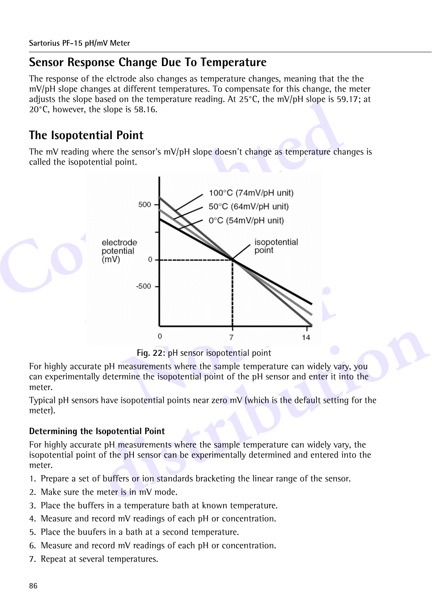#### **Sensor Response Change Due To Temperature**

The response of the elctrode also changes as temperature changes, meaning that the the mV/pH slope changes at different temperatures. To compensate for this change, the meter adjusts the slope based on the temperature reading. At  $25^{\circ}$ C, the mV/pH slope is 59.17; at 20°C, however, the slope is 58.16.

### **The Isopotential Point**

The mV reading where the sensor's mV/pH slope doesn't change as temperature changes is called the isopotential point.



**Fig. 22:** pH sensor isopotential point

For highly accurate pH measurements where the sample temperature can widely vary, you can experimentally determine the isopotential point of the pH sensor and enter it into the meter.

Typical pH sensors have isopotential points near zero mV (which is the default setting for the meter).

#### **Determining the Isopotential Point**

<sup>0</sup><br>
<sup>7</sup><br> **distribution** is potential point<br> **distribution** in the sample temperature can widely vary, you<br>
y determine the isopotential point of the pH sensor and enter it into the<br>
shave isopotential points near zero mV For highly accurate pH measurements where the sample temperature can widely vary, the isopotential point of the pH sensor can be experimentally determined and entered into the meter.

- 1. Prepare a set of buffers or ion standards bracketing the linear range of the sensor.
- 2. Make sure the meter is in mV mode.
- 3. Place the buffers in a temperature bath at known temperature.
- 4. Measure and record mV readings of each pH or concentration.
- 5. Place the buufers in a bath at a second temperature.
- 6. Measure and record mV readings of each pH or concentration.
- 7. Repeat at several temperatures.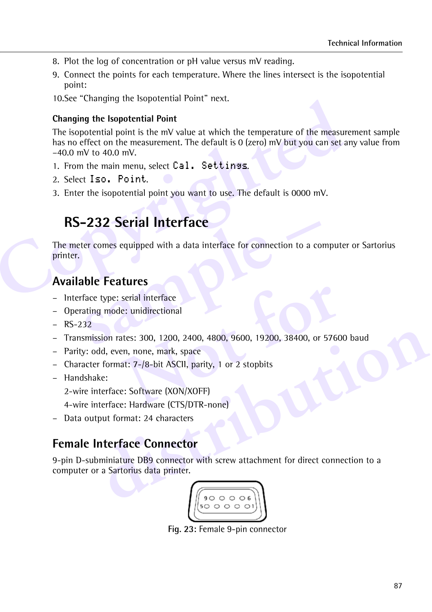- 8. Plot the log of concentration or pH value versus mV reading.
- 9. Connect the points for each temperature. Where the lines intersect is the isopotential point:
- 10.See ["Changing the Isopotential Point"](#page-5-0) next.

#### <span id="page-5-0"></span>**Changing the Isopotential Point**

Follower Changing the Isopotential Point next.<br> **Changing the Isopotential Point**<br>
The isopotential point is the mV value at which the temperature of the measure<br>
has no effect on the measurement. The default is 0 (zero) m The isopotential point is the mV value at which the temperature of the measurement sample has no effect on the measurement. The default is 0 (zero) mV but you can set any value from –40.0 mV to 40.0 mV.

- 1. From the main menu, select Cal. Settings.
- 2. Select Iso. Point.
- 3. Enter the isopotential point you want to use. The default is 0000 mV.

## **RS-232 Serial Interface**

**EXECUTE:**<br> **SAMPLE FEATURE:**<br> **SAMPLE FEATURES**<br> **SAMPLE FEATURES**<br> **SAMPLE FEATURES**<br> **SAMPLE FEATURES**<br> **SAMPLE FEATURES**<br> **SAMPLE FEATURES**<br> **SAMPLE FEATURES**<br> **SAMPLE FEATURES**<br> **SAMPLE FEATURES**<br> **SAMPLE FEATURES**<br> The meter comes equipped with a data interface for connection to a computer or Sartorius printer.

### **Available Features**

- Interface type: serial interface
- Operating mode: unidirectional
- $-$  RS-232
- serial interface<br>
e: unidirectional<br>
attes: 300, 1200, 2400, 4800, 9600, 19200, 38400, or 5760<br>
en, none, mark, space<br>
at: 7-/8-bit ASCII, parity, 1 or 2 stopbits<br>
e: Software (XON/XOFF)<br>
e: Hardware (CTS/DTR-none) – Transmission rates: 300, 1200, 2400, 4800, 9600, 19200, 38400, or 57600 baud
- Parity: odd, even, none, mark, space
- Character format: 7-/8-bit ASCII, parity, 1 or 2 stopbits
- Handshake:
	- 2-wire interface: Software (XON/XOFF)
	- 4-wire interface: Hardware (CTS/DTR-none)
- Data output format: 24 characters

#### **Female Interface Connector**

**Example 18: 300, 1200, 2400, 4800, 9600, 19200, 38400, or 57600 baud<br>ddd, even, none, mark, space<br>r format: 7-/8-bit ASCII, parity, 1 or 2 stopbits<br>ke:<br>therface: Software (CIS/DTR-none)<br>tput format: 24 characters<br><b>Interfa** 9-pin D-subminiature DB9 connector with screw attachment for direct connection to a computer or a Sartorius data printer.



**Fig. 23:** Female 9-pin connector